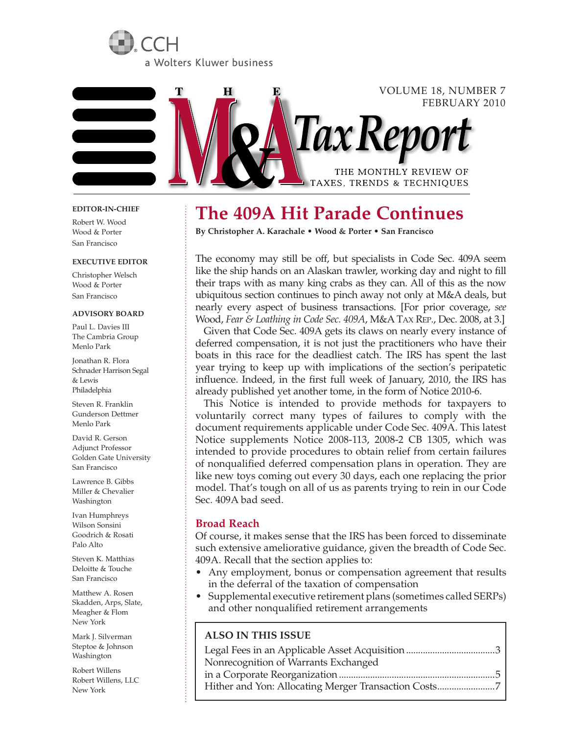



#### **EDITOR-IN-CHIEF**

Robert W. Wood Wood & Porter San Francisco

#### **EXECUTIVE EDITOR**

Christopher Welsch Wood & Porter San Francisco

#### **ADVISORY BOARD**

Paul L. Davies III The Cambria Group Menlo Park

Jonathan R. Flora Schnader Harrison Segal & Lewis Philadelphia

Steven R. Franklin Gunderson Dettmer Menlo Park

David R. Gerson Adjunct Professor Golden Gate University San Francisco

Lawrence B. Gibbs Miller & Chevalier Washington

Ivan Humphreys Wilson Sonsini Goodrich & Rosati Palo Alto

Steven K. Matthias Deloitte & Touche San Francisco

Matthew A. Rosen Skadden, Arps, Slate, Meagher & Flom New York

Mark J. Silverman Steptoe & Johnson Washington

Robert Willens Robert Willens, LLC New York

# **The 409A Hit Parade Continues**

**By Christopher A. Karachale • Wood & Porter • San Francisco**

The economy may still be off, but specialists in Code Sec. 409A seem like the ship hands on an Alaskan trawler, working day and night to fill their traps with as many king crabs as they can. All of this as the now ubiquitous section continues to pinch away not only at M&A deals, but nearly every aspect of business transactions. [For prior coverage, *see* Wood, *Fear & Loathing in Code Sec. 409A*, M&A TAX REP., Dec. 2008, at 3.]

*Tax Repo* 

THE MONTHLY REVIEW OF TAXES, TRENDS & TECHNIQUES

VOLUME 18, NUMBER 7

FEBRUARY 2010

Given that Code Sec. 409A gets its claws on nearly every instance of deferred compensation, it is not just the practitioners who have their boats in this race for the deadliest catch. The IRS has spent the last year trying to keep up with implications of the section's peripatetic influence. Indeed, in the first full week of January, 2010, the IRS has already published yet another tome, in the form of Notice 2010-6.

This Notice is intended to provide methods for taxpayers to voluntarily correct many types of failures to comply with the document requirements applicable under Code Sec. 409A. This latest Notice supplements Notice 2008-113, 2008-2 CB 1305, which was intended to provide procedures to obtain relief from certain failures of nonqualified deferred compensation plans in operation. They are like new toys coming out every 30 days, each one replacing the prior model. That's tough on all of us as parents trying to rein in our Code Sec. 409A bad seed.

#### **Broad Reach**

Of course, it makes sense that the IRS has been forced to disseminate such extensive ameliorative guidance, given the breadth of Code Sec. 409A. Recall that the section applies to:

- Any employment, bonus or compensation agreement that results in the deferral of the taxation of compensation
- Supplemental executive retirement plans (sometimes called SERPs) and other nonqualified retirement arrangements

#### **ALSO IN THIS ISSUE**

| Nonrecognition of Warrants Exchanged |
|--------------------------------------|
|                                      |
|                                      |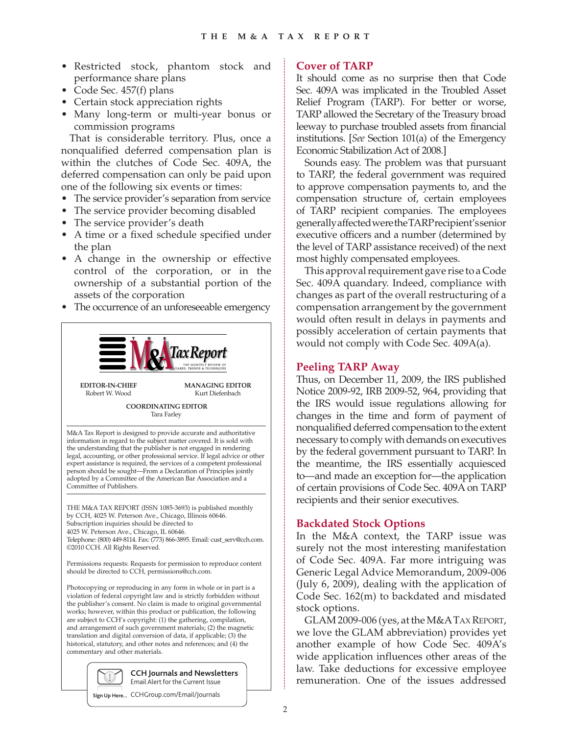- Restricted stock, phantom stock and performance share plans
- Code Sec. 457(f) plans
- Certain stock appreciation rights
- Many long-term or multi-year bonus or commission programs

That is considerable territory. Plus, once a nonqualified deferred compensation plan is within the clutches of Code Sec. 409A, the deferred compensation can only be paid upon one of the following six events or times:

- The service provider's separation from service
- The service provider becoming disabled
- The service provider's death
- A time or a fixed schedule specified under the plan
- A change in the ownership or effective control of the corporation, or in the ownership of a substantial portion of the assets of the corporation
- The occurrence of an unforeseeable emergency



Kurt Diefenbach

**COORDINATING EDITOR** Tara Farley

M&A Tax Report is designed to provide accurate and authoritative information in regard to the subject matter covered. It is sold with the understanding that the publisher is not engaged in rendering legal, accounting, or other professional service. If legal advice or other expert assistance is required, the services of a competent professional person should be sought—From a Declaration of Principles jointly adopted by a Committee of the American Bar Association and a Committee of Publishers.

THE M&A TAX REPORT (ISSN 1085-3693) is published monthly by CCH, 4025 W. Peterson Ave., Chicago, Illinois 60646. Subscription inquiries should be directed to 4025 W. Peterson Ave., Chicago, IL 60646. Telephone: (800) 449-8114. Fax: (773) 866-3895. Email: cust\_serv@cch.com. ©2010 CCH. All Rights Reserved.

Permissions requests: Requests for permission to reproduce content should be directed to CCH, permissions@cch.com.

Photocopying or reproducing in any form in whole or in part is a violation of federal copyright law and is strictly forbidden without the publisher's consent. No claim is made to original governmental works; however, within this product or publication, the following are subject to CCH's copyright: (1) the gathering, compilation, and arrangement of such government materials; (2) the magnetic translation and digital conversion of data, if applicable; (3) the historical, statutory, and other notes and references; and (4) the commentary and other materials.



**CCH Journals and Newsletters** Email Alert for the Current Issue

**Sign Up Here...** CCHGroup.com/Email/Journals

# **Cover of TARP**

It should come as no surprise then that Code Sec. 409A was implicated in the Troubled Asset Relief Program (TARP). For better or worse, TARP allowed the Secretary of the Treasury broad leeway to purchase troubled assets from financial institutions. [*See* Section 101(a) of the Emergency Economic Stabilization Act of 2008.]

Sounds easy. The problem was that pursuant to TARP, the federal government was required to approve compensation payments to, and the compensation structure of, certain employees of TARP recipient companies. The employees generally affected were the TARP recipient's senior executive officers and a number (determined by the level of TARP assistance received) of the next most highly compensated employees.

This approval requirement gave rise to a Code Sec. 409A quandary. Indeed, compliance with changes as part of the overall restructuring of a compensation arrangement by the government would often result in delays in payments and possibly acceleration of certain payments that would not comply with Code Sec. 409A(a).

# **Peeling TARP Away**

Thus, on December 11, 2009, the IRS published Notice 2009-92, IRB 2009-52, 964, providing that the IRS would issue regulations allowing for changes in the time and form of payment of nonqualified deferred compensation to the extent necessary to comply with demands on executives by the federal government pursuant to TARP. In the meantime, the IRS essentially acquiesced to—and made an exception for—the application of certain provisions of Code Sec. 409A on TARP recipients and their senior executives.

# **Backdated Stock Options**

In the M&A context, the TARP issue was surely not the most interesting manifestation of Code Sec. 409A. Far more intriguing was Generic Legal Advice Memorandum, 2009-006 (July 6, 2009), dealing with the application of Code Sec. 162(m) to backdated and misdated stock options.

GLAM 2009-006 (yes, at the M&A TAX REPORT, we love the GLAM abbreviation) provides yet another example of how Code Sec. 409A's wide application influences other areas of the law. Take deductions for excessive employee remuneration. One of the issues addressed